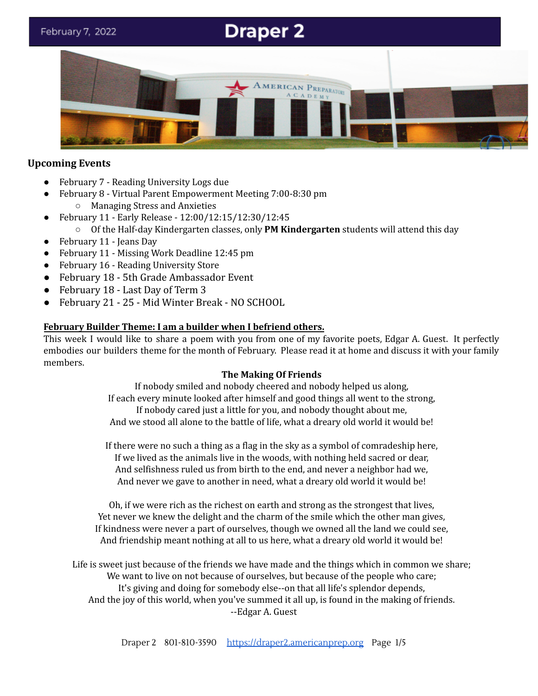# **Draper 2**



# **Upcoming Events**

- February 7 Reading University Logs due
- February 8 Virtual Parent Empowerment Meeting 7:00-8:30 pm ○ Managing Stress and Anxieties
- February 11 Early Release 12:00/12:15/12:30/12:45
	- Of the Half-day Kindergarten classes, only **PM Kindergarten** students will attend this day
- February 11 Jeans Day
- February 11 Missing Work Deadline 12:45 pm
- February 16 Reading University Store
- February 18 5th Grade Ambassador Event
- February 18 Last Day of Term 3
- February 21 25 Mid Winter Break NO SCHOOL

# **February Builder Theme: I am a builder when I befriend others.**

This week I would like to share a poem with you from one of my favorite poets, Edgar A. Guest. It perfectly embodies our builders theme for the month of February. Please read it at home and discuss it with your family members.

# **The Making Of Friends**

If nobody smiled and nobody cheered and nobody helped us along, If each every minute looked after himself and good things all went to the strong, If nobody cared just a little for you, and nobody thought about me, And we stood all alone to the battle of life, what a dreary old world it would be!

If there were no such a thing as a flag in the sky as a symbol of comradeship here, If we lived as the animals live in the woods, with nothing held sacred or dear, And selfishness ruled us from birth to the end, and never a neighbor had we, And never we gave to another in need, what a dreary old world it would be!

Oh, if we were rich as the richest on earth and strong as the strongest that lives, Yet never we knew the delight and the charm of the smile which the other man gives, If kindness were never a part of ourselves, though we owned all the land we could see, And friendship meant nothing at all to us here, what a dreary old world it would be!

Life is sweet just because of the friends we have made and the things which in common we share; We want to live on not because of ourselves, but because of the people who care; It's giving and doing for somebody else--on that all life's splendor depends, And the joy of this world, when you've summed it all up, is found in the making of friends. --Edgar A. Guest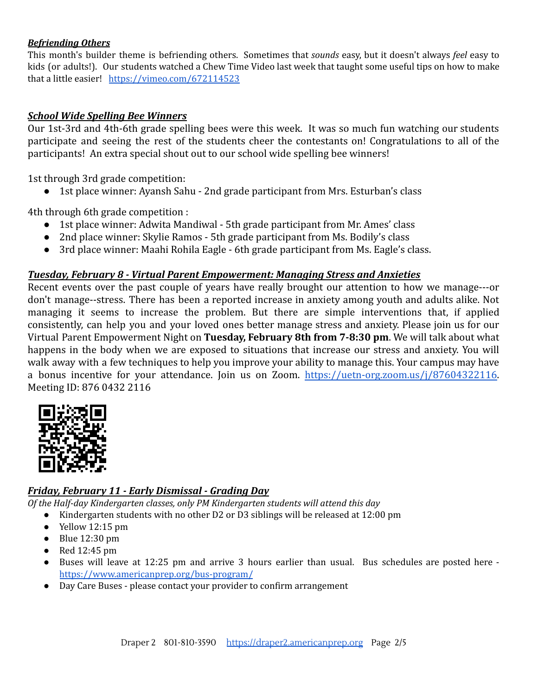#### *Befriending Others*

This month's builder theme is befriending others. Sometimes that *sounds* easy, but it doesn't always *feel* easy to kids (or adults!). Our students watched a Chew Time Video last week that taught some useful tips on how to make that a little easier! <https://vimeo.com/672114523>

## *School Wide Spelling Bee Winners*

Our 1st-3rd and 4th-6th grade spelling bees were this week. It was so much fun watching our students participate and seeing the rest of the students cheer the contestants on! Congratulations to all of the participants! An extra special shout out to our school wide spelling bee winners!

1st through 3rd grade competition:

● 1st place winner: Ayansh Sahu - 2nd grade participant from Mrs. Esturban's class

4th through 6th grade competition :

- 1st place winner: Adwita Mandiwal 5th grade participant from Mr. Ames' class
- 2nd place winner: Skylie Ramos 5th grade participant from Ms. Bodily's class
- 3rd place winner: Maahi Rohila Eagle 6th grade participant from Ms. Eagle's class.

## *Tuesday, February 8 - Virtual Parent Empowerment: Managing Stress and Anxieties*

Recent events over the past couple of years have really brought our attention to how we manage---or don't manage--stress. There has been a reported increase in anxiety among youth and adults alike. Not managing it seems to increase the problem. But there are simple interventions that, if applied consistently, can help you and your loved ones better manage stress and anxiety. Please join us for our Virtual Parent Empowerment Night on **Tuesday, February 8th from 7-8:30 pm**. We will talk about what happens in the body when we are exposed to situations that increase our stress and anxiety. You will walk away with a few techniques to help you improve your ability to manage this. Your campus may have a bonus incentive for your attendance. Join us on Zoom. [https://uetn-org.zoom.us/j/87604322116.](https://uetn-org.zoom.us/j/87604322116) Meeting ID: 876 0432 2116



## *Friday, February 11 - Early Dismissal - Grading Day*

*Of the Half-day Kindergarten classes, only PM Kindergarten students will attend this day*

- Kindergarten students with no other D2 or D3 siblings will be released at 12:00 pm
- $\bullet$  Yellow 12:15 pm
- $\bullet$  Blue 12:30 pm
- $\bullet$  Red 12:45 pm
- Buses will leave at 12:25 pm and arrive 3 hours earlier than usual. Bus schedules are posted here <https://www.americanprep.org/bus-program/>
- Day Care Buses please contact your provider to confirm arrangement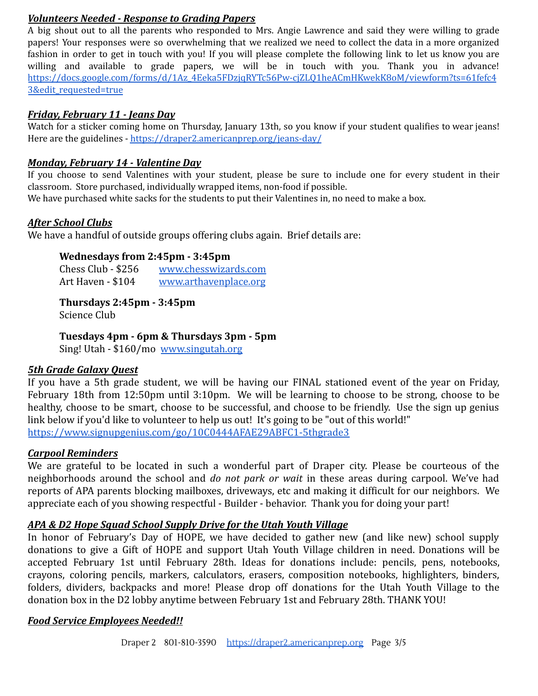## *Volunteers Needed - Response to Grading Papers*

A big shout out to all the parents who responded to Mrs. Angie Lawrence and said they were willing to grade papers! Your responses were so overwhelming that we realized we need to collect the data in a more organized fashion in order to get in touch with you! If you will please complete the following link to let us know you are willing and available to grade papers, we will be in touch with you. Thank you in advance! [https://docs.google.com/forms/d/1Az\\_4Eeka5FDzjqRYTc56Pw-cjZLQ1heACmHKwekK8oM/viewform?ts=61fefc4](https://docs.google.com/forms/d/1Az_4Eeka5FDzjqRYTc56Pw-cjZLQ1heACmHKwekK8oM/viewform?ts=61fefc43&edit_requested=true) [3&edit\\_requested=true](https://docs.google.com/forms/d/1Az_4Eeka5FDzjqRYTc56Pw-cjZLQ1heACmHKwekK8oM/viewform?ts=61fefc43&edit_requested=true)

## *Friday, February 11 - Jeans Day*

Watch for a sticker coming home on Thursday, January 13th, so you know if your student qualifies to wear jeans! Here are the guidelines - <https://draper2.americanprep.org/jeans-day/>

# *Monday, February 14 - Valentine Day*

If you choose to send Valentines with your student, please be sure to include one for every student in their classroom. Store purchased, individually wrapped items, non-food if possible.

We have purchased white sacks for the students to put their Valentines in, no need to make a box.

## *After School Clubs*

We have a handful of outside groups offering clubs again. Brief details are:

## **Wednesdays from 2:45pm - 3:45pm**

| Chess Club - \$256 | www.chesswizards.com  |
|--------------------|-----------------------|
| Art Haven - \$104  | www.arthavenplace.org |

**Thursdays 2:45pm - 3:45pm** Science Club

**Tuesdays 4pm - 6pm & Thursdays 3pm - 5pm**

Sing! Utah - \$160/mo [www.singutah.org](http://www.singutah.org)

# *5th Grade Galaxy Quest*

If you have a 5th grade student, we will be having our FINAL stationed event of the year on Friday, February 18th from 12:50pm until 3:10pm. We will be learning to choose to be strong, choose to be healthy, choose to be smart, choose to be successful, and choose to be friendly. Use the sign up genius link below if you'd like to volunteer to help us out! It's going to be "out of this world!" <https://www.signupgenius.com/go/10C0444AFAE29ABFC1-5thgrade3>

## *Carpool Reminders*

We are grateful to be located in such a wonderful part of Draper city. Please be courteous of the neighborhoods around the school and *do not park or wait* in these areas during carpool. We've had reports of APA parents blocking mailboxes, driveways, etc and making it difficult for our neighbors. We appreciate each of you showing respectful - Builder - behavior. Thank you for doing your part!

# *APA & D2 Hope Squad School Supply Drive for the Utah Youth Village*

In honor of February's Day of HOPE, we have decided to gather new (and like new) school supply donations to give a Gift of HOPE and support Utah Youth Village children in need. Donations will be accepted February 1st until February 28th. Ideas for donations include: pencils, pens, notebooks, crayons, coloring pencils, markers, calculators, erasers, composition notebooks, highlighters, binders, folders, dividers, backpacks and more! Please drop off donations for the Utah Youth Village to the donation box in the D2 lobby anytime between February 1st and February 28th. THANK YOU!

## *Food Service Employees Needed!!*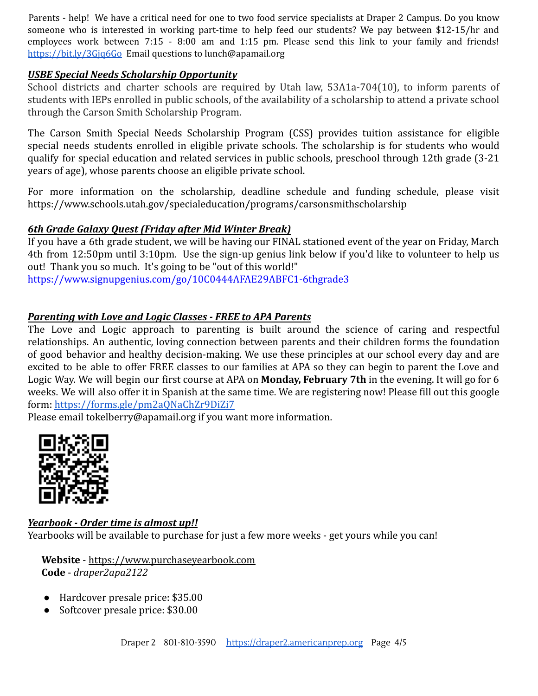Parents - help! We have a critical need for one to two food service specialists at Draper 2 Campus. Do you know someone who is interested in working part-time to help feed our students? We pay between \$12-15/hr and employees work between 7:15 - 8:00 am and 1:15 pm. Please send this link to your family and friends[!](https://bit.ly/3Gjq6Go) <https://bit.ly/3Gjq6Go> Email questions to lunch@apamail.org

## *USBE Special Needs Scholarship Opportunity*

School districts and charter schools are required by Utah law, 53A1a-704(10), to inform parents of students with IEPs enrolled in public schools, of the availability of a scholarship to attend a private school through the Carson Smith Scholarship Program.

The Carson Smith Special Needs Scholarship Program (CSS) provides tuition assistance for eligible special needs students enrolled in eligible private schools. The scholarship is for students who would qualify for special education and related services in public schools, preschool through 12th grade (3‐21 years of age), whose parents choose an eligible private school.

For more information on the scholarship, deadline schedule and funding schedule, please visit https://www.schools.utah.gov/specialeducation/programs/carsonsmithscholarship

## *6th Grade Galaxy Quest (Friday after Mid Winter Break)*

If you have a 6th grade student, we will be having our FINAL stationed event of the year on Friday, March 4th from 12:50pm until 3:10pm. Use the sign-up genius link below if you'd like to volunteer to help us out! Thank you so much. It's going to be "out of this world!" <https://www.signupgenius.com/go/10C0444AFAE29ABFC1-6thgrade3>

#### *Parenting with Love and Logic Classes - FREE to APA Parents*

The Love and Logic approach to parenting is built around the science of caring and respectful relationships. An authentic, loving connection between parents and their children forms the foundation of good behavior and healthy decision-making. We use these principles at our school every day and are excited to be able to offer FREE classes to our families at APA so they can begin to parent the Love and Logic Way. We will begin our first course at APA on **Monday, February 7th** in the evening. It will go for 6 weeks. We will also offer it in Spanish at the same time. We are registering now! Please fill out this google form: <https://forms.gle/pm2aQNaChZr9DiZi7>

Please email tokelberry@apamail.org if you want more information.



*Yearbook - Order time is almost up!!* Yearbooks will be available to purchase for just a few more weeks - get yours while you can!

**Website** - [https://www.purchaseyearbook.com](https://www.purchaseyearbook.com/) **Code** - *draper2apa2122*

- Hardcover presale price: \$35.00
- Softcover presale price: \$30.00